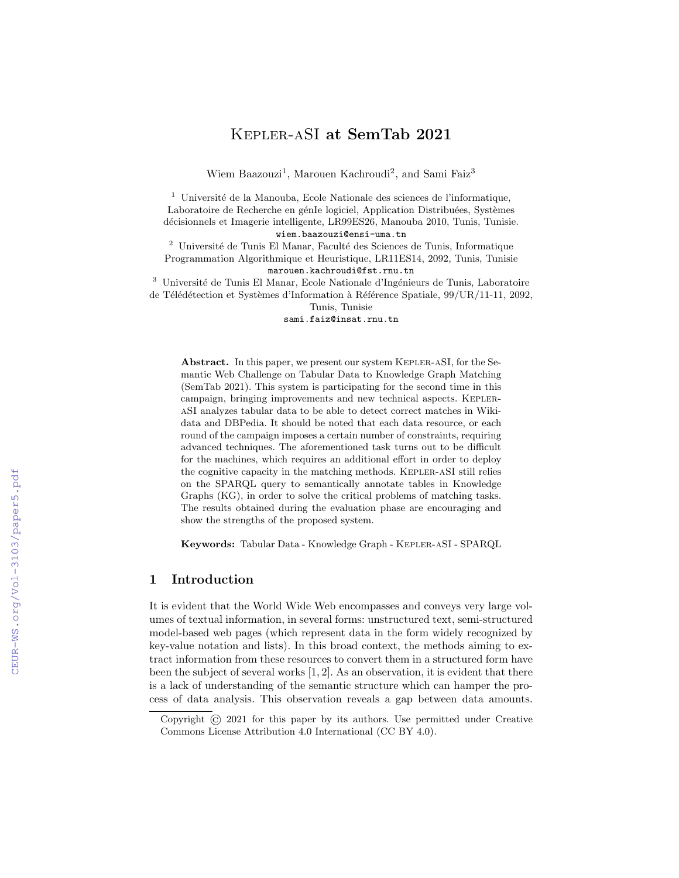# Kepler-aSI at SemTab 2021

Wiem Baazouzi<sup>1</sup>, Marouen Kachroudi<sup>2</sup>, and Sami Faiz<sup>3</sup>

 $1$  Université de la Manouba, Ecole Nationale des sciences de l'informatique, Laboratoire de Recherche en génIe logiciel, Application Distribuées, Systèmes d´ecisionnels et Imagerie intelligente, LR99ES26, Manouba 2010, Tunis, Tunisie.

wiem.baazouzi@ensi-uma.tn

 $^2\,$ Université de Tunis El Manar, Faculté des Sciences de Tunis, Informatique Programmation Algorithmique et Heuristique, LR11ES14, 2092, Tunis, Tunisie marouen.kachroudi@fst.rnu.tn

 $^3\,$ Université de Tunis El Manar, Ecole Nationale d'Ingénieurs de Tunis, Laboratoire de Télédétection et Systèmes d'Information à Référence Spatiale, 99/UR/11-11, 2092,

Tunis, Tunisie

sami.faiz@insat.rnu.tn

Abstract. In this paper, we present our system Kepler-aSI, for the Semantic Web Challenge on Tabular Data to Knowledge Graph Matching (SemTab 2021). This system is participating for the second time in this campaign, bringing improvements and new technical aspects. KEPLERaSI analyzes tabular data to be able to detect correct matches in Wikidata and DBPedia. It should be noted that each data resource, or each round of the campaign imposes a certain number of constraints, requiring advanced techniques. The aforementioned task turns out to be difficult for the machines, which requires an additional effort in order to deploy the cognitive capacity in the matching methods. Kepler-aSI still relies on the SPARQL query to semantically annotate tables in Knowledge Graphs (KG), in order to solve the critical problems of matching tasks. The results obtained during the evaluation phase are encouraging and show the strengths of the proposed system.

Keywords: Tabular Data - Knowledge Graph - Kepler-aSI - SPARQL

### 1 Introduction

It is evident that the World Wide Web encompasses and conveys very large volumes of textual information, in several forms: unstructured text, semi-structured model-based web pages (which represent data in the form widely recognized by key-value notation and lists). In this broad context, the methods aiming to extract information from these resources to convert them in a structured form have been the subject of several works [1, 2]. As an observation, it is evident that there is a lack of understanding of the semantic structure which can hamper the process of data analysis. This observation reveals a gap between data amounts.

Copyright © 2021 for this paper by its authors. Use permitted under Creative Commons License Attribution 4.0 International (CC BY 4.0).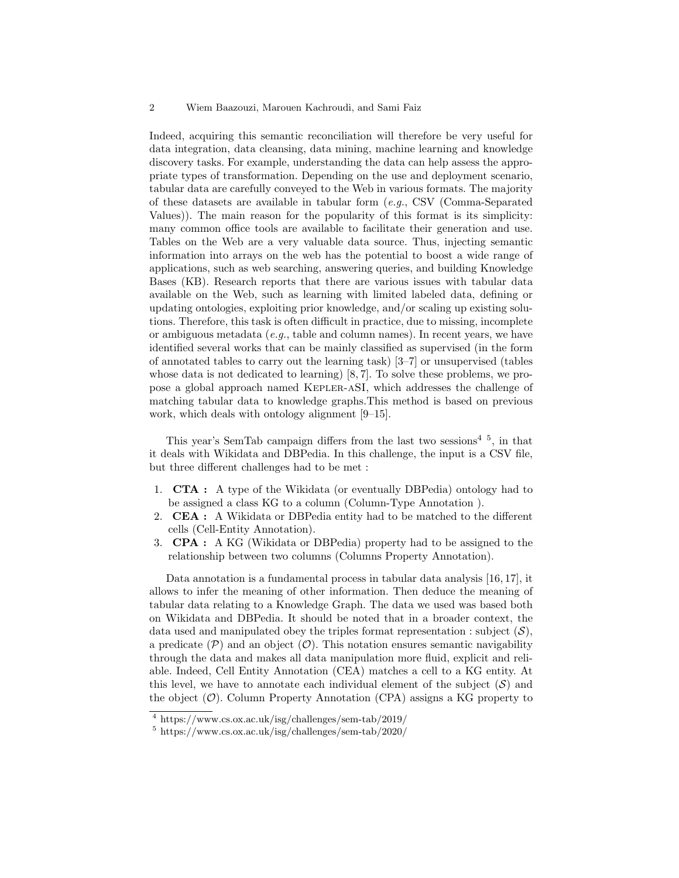Indeed, acquiring this semantic reconciliation will therefore be very useful for data integration, data cleansing, data mining, machine learning and knowledge discovery tasks. For example, understanding the data can help assess the appropriate types of transformation. Depending on the use and deployment scenario, tabular data are carefully conveyed to the Web in various formats. The majority of these datasets are available in tabular form (e.g., CSV (Comma-Separated Values)). The main reason for the popularity of this format is its simplicity: many common office tools are available to facilitate their generation and use. Tables on the Web are a very valuable data source. Thus, injecting semantic information into arrays on the web has the potential to boost a wide range of applications, such as web searching, answering queries, and building Knowledge Bases (KB). Research reports that there are various issues with tabular data available on the Web, such as learning with limited labeled data, defining or updating ontologies, exploiting prior knowledge, and/or scaling up existing solutions. Therefore, this task is often difficult in practice, due to missing, incomplete or ambiguous metadata (e.g., table and column names). In recent years, we have identified several works that can be mainly classified as supervised (in the form of annotated tables to carry out the learning task) [3–7] or unsupervised (tables whose data is not dedicated to learning) [8, 7]. To solve these problems, we propose a global approach named Kepler-aSI, which addresses the challenge of matching tabular data to knowledge graphs.This method is based on previous work, which deals with ontology alignment [9–15].

This year's SemTab campaign differs from the last two sessions<sup>4-5</sup>, in that it deals with Wikidata and DBPedia. In this challenge, the input is a CSV file, but three different challenges had to be met :

- 1. CTA : A type of the Wikidata (or eventually DBPedia) ontology had to be assigned a class KG to a column (Column-Type Annotation ).
- 2. **CEA** : A Wikidata or DBPedia entity had to be matched to the different cells (Cell-Entity Annotation).
- 3. CPA : A KG (Wikidata or DBPedia) property had to be assigned to the relationship between two columns (Columns Property Annotation).

Data annotation is a fundamental process in tabular data analysis [16, 17], it allows to infer the meaning of other information. Then deduce the meaning of tabular data relating to a Knowledge Graph. The data we used was based both on Wikidata and DBPedia. It should be noted that in a broader context, the data used and manipulated obey the triples format representation : subject  $(S)$ , a predicate  $(\mathcal{P})$  and an object  $(\mathcal{O})$ . This notation ensures semantic navigability through the data and makes all data manipulation more fluid, explicit and reliable. Indeed, Cell Entity Annotation (CEA) matches a cell to a KG entity. At this level, we have to annotate each individual element of the subject  $(S)$  and the object  $(\mathcal{O})$ . Column Property Annotation (CPA) assigns a KG property to

<sup>4</sup> https://www.cs.ox.ac.uk/isg/challenges/sem-tab/2019/

<sup>5</sup> https://www.cs.ox.ac.uk/isg/challenges/sem-tab/2020/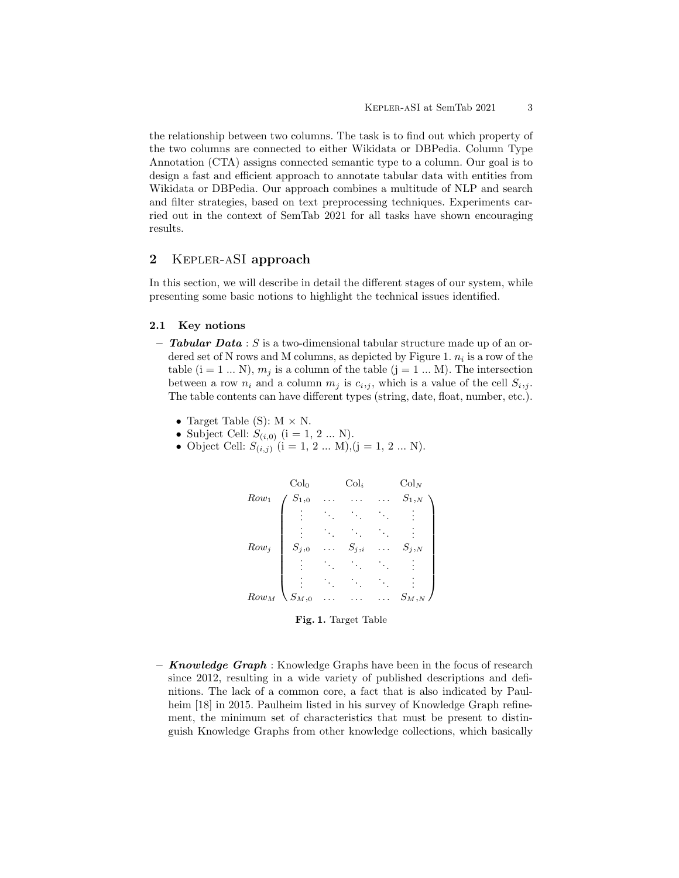the relationship between two columns. The task is to find out which property of the two columns are connected to either Wikidata or DBPedia. Column Type Annotation (CTA) assigns connected semantic type to a column. Our goal is to design a fast and efficient approach to annotate tabular data with entities from Wikidata or DBPedia. Our approach combines a multitude of NLP and search and filter strategies, based on text preprocessing techniques. Experiments carried out in the context of SemTab 2021 for all tasks have shown encouraging results.

# 2 Kepler-aSI approach

In this section, we will describe in detail the different stages of our system, while presenting some basic notions to highlight the technical issues identified.

### 2.1 Key notions

- **Tabular Data** : S is a two-dimensional tabular structure made up of an ordered set of N rows and M columns, as depicted by Figure 1.  $n_i$  is a row of the table  $(i = 1 ... N)$ ,  $m_j$  is a column of the table  $(j = 1 ... M)$ . The intersection between a row  $n_i$  and a column  $m_j$  is  $c_{i,j}$ , which is a value of the cell  $S_{i,j}$ . The table contents can have different types (string, date, float, number, etc.).
	- Target Table (S):  $M \times N$ .
	- Subject Cell:  $S_{(i,0)}$  (i = 1, 2 ... N).
	- Object Cell:  $S_{(i,j)}$   $(i = 1, 2 ... M), (j = 1, 2 ... N)$ .



Fig. 1. Target Table

- **Knowledge Graph**: Knowledge Graphs have been in the focus of research since 2012, resulting in a wide variety of published descriptions and definitions. The lack of a common core, a fact that is also indicated by Paulheim [18] in 2015. Paulheim listed in his survey of Knowledge Graph refinement, the minimum set of characteristics that must be present to distinguish Knowledge Graphs from other knowledge collections, which basically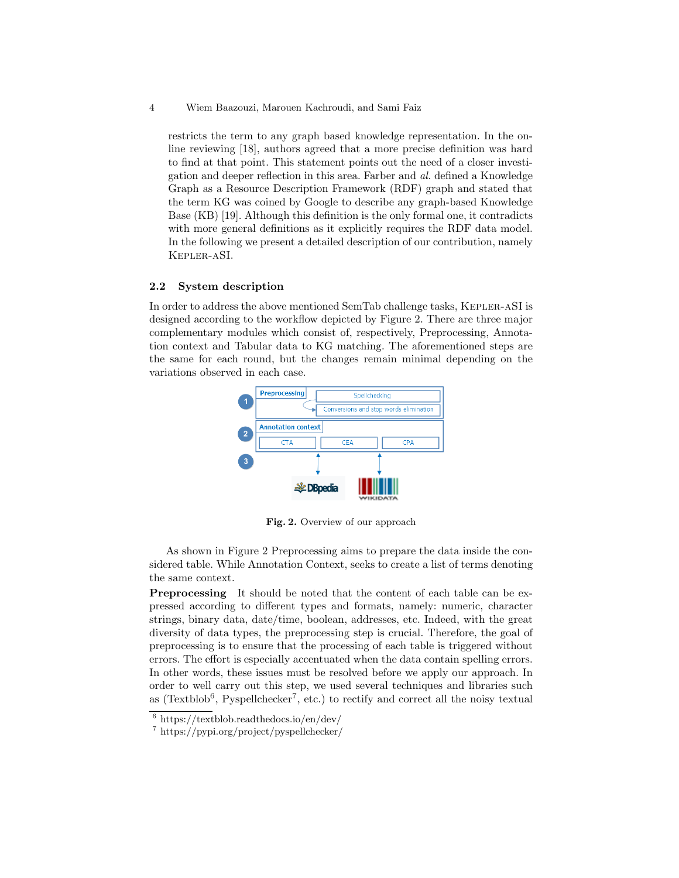restricts the term to any graph based knowledge representation. In the online reviewing [18], authors agreed that a more precise definition was hard to find at that point. This statement points out the need of a closer investigation and deeper reflection in this area. Farber and al. defined a Knowledge Graph as a Resource Description Framework (RDF) graph and stated that the term KG was coined by Google to describe any graph-based Knowledge Base (KB) [19]. Although this definition is the only formal one, it contradicts with more general definitions as it explicitly requires the RDF data model. In the following we present a detailed description of our contribution, namely Kepler-aSI.

### 2.2 System description

In order to address the above mentioned SemTab challenge tasks, Kepler-aSI is designed according to the workflow depicted by Figure 2. There are three major complementary modules which consist of, respectively, Preprocessing, Annotation context and Tabular data to KG matching. The aforementioned steps are the same for each round, but the changes remain minimal depending on the variations observed in each case.



Fig. 2. Overview of our approach

As shown in Figure 2 Preprocessing aims to prepare the data inside the considered table. While Annotation Context, seeks to create a list of terms denoting the same context.

**Preprocessing** It should be noted that the content of each table can be expressed according to different types and formats, namely: numeric, character strings, binary data, date/time, boolean, addresses, etc. Indeed, with the great diversity of data types, the preprocessing step is crucial. Therefore, the goal of preprocessing is to ensure that the processing of each table is triggered without errors. The effort is especially accentuated when the data contain spelling errors. In other words, these issues must be resolved before we apply our approach. In order to well carry out this step, we used several techniques and libraries such as (Textblob<sup>6</sup>, Pyspellchecker<sup>7</sup>, etc.) to rectify and correct all the noisy textual

 $6 \text{ https://text不)}{\text{https://text.com/dev/}}$ 

<sup>7</sup> https://pypi.org/project/pyspellchecker/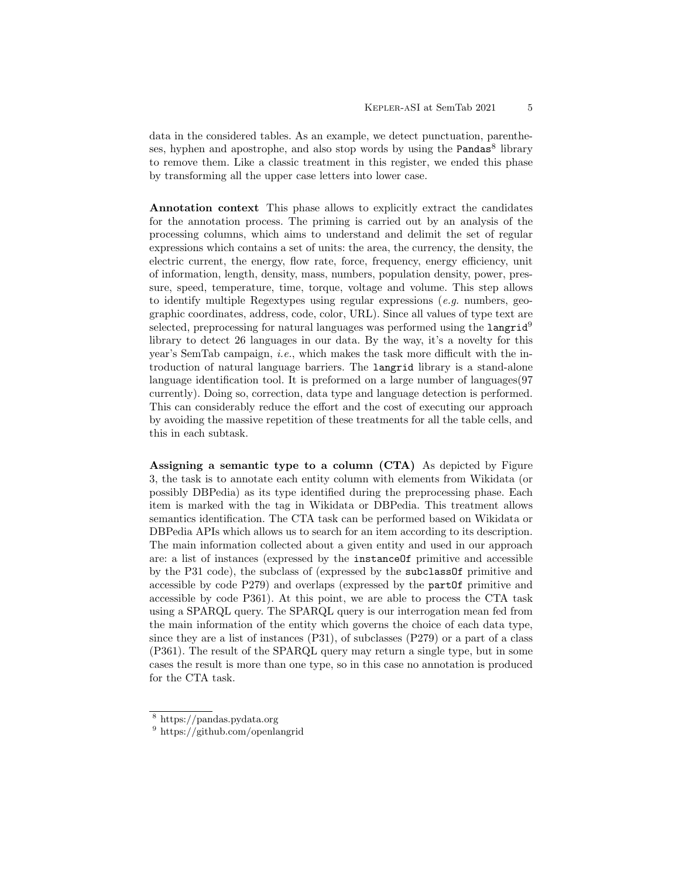data in the considered tables. As an example, we detect punctuation, parentheses, hyphen and apostrophe, and also stop words by using the Pandas<sup>8</sup> library to remove them. Like a classic treatment in this register, we ended this phase by transforming all the upper case letters into lower case.

Annotation context This phase allows to explicitly extract the candidates for the annotation process. The priming is carried out by an analysis of the processing columns, which aims to understand and delimit the set of regular expressions which contains a set of units: the area, the currency, the density, the electric current, the energy, flow rate, force, frequency, energy efficiency, unit of information, length, density, mass, numbers, population density, power, pressure, speed, temperature, time, torque, voltage and volume. This step allows to identify multiple Regextypes using regular expressions  $(e,q)$  numbers, geographic coordinates, address, code, color, URL). Since all values of type text are selected, preprocessing for natural languages was performed using the  $l$ angrid<sup>9</sup> library to detect 26 languages in our data. By the way, it's a novelty for this year's SemTab campaign, i.e., which makes the task more difficult with the introduction of natural language barriers. The langrid library is a stand-alone language identification tool. It is preformed on a large number of languages(97 currently). Doing so, correction, data type and language detection is performed. This can considerably reduce the effort and the cost of executing our approach by avoiding the massive repetition of these treatments for all the table cells, and this in each subtask.

Assigning a semantic type to a column (CTA) As depicted by Figure 3, the task is to annotate each entity column with elements from Wikidata (or possibly DBPedia) as its type identified during the preprocessing phase. Each item is marked with the tag in Wikidata or DBPedia. This treatment allows semantics identification. The CTA task can be performed based on Wikidata or DBPedia APIs which allows us to search for an item according to its description. The main information collected about a given entity and used in our approach are: a list of instances (expressed by the instanceOf primitive and accessible by the P31 code), the subclass of (expressed by the subclassOf primitive and accessible by code P279) and overlaps (expressed by the partOf primitive and accessible by code P361). At this point, we are able to process the CTA task using a SPARQL query. The SPARQL query is our interrogation mean fed from the main information of the entity which governs the choice of each data type, since they are a list of instances  $(P31)$ , of subclasses  $(P279)$  or a part of a class (P361). The result of the SPARQL query may return a single type, but in some cases the result is more than one type, so in this case no annotation is produced for the CTA task.

<sup>8</sup> https://pandas.pydata.org

<sup>9</sup> https://github.com/openlangrid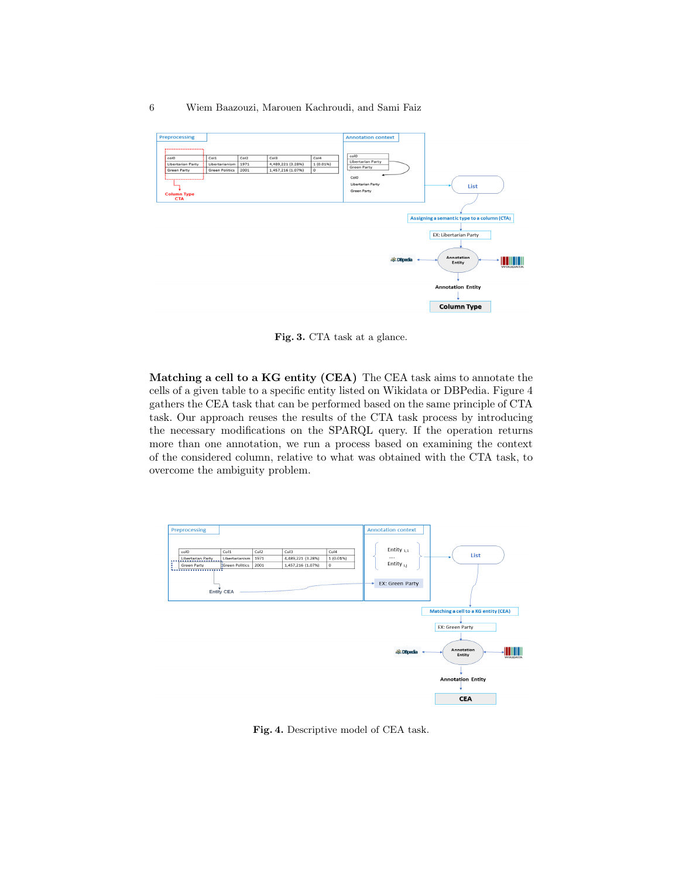

Fig. 3. CTA task at a glance.

Matching a cell to a KG entity (CEA) The CEA task aims to annotate the cells of a given table to a specific entity listed on Wikidata or DBPedia. Figure 4 gathers the CEA task that can be performed based on the same principle of CTA task. Our approach reuses the results of the CTA task process by introducing the necessary modifications on the SPARQL query. If the operation returns more than one annotation, we run a process based on examining the context of the considered column, relative to what was obtained with the CTA task, to overcome the ambiguity problem.



Fig. 4. Descriptive model of CEA task.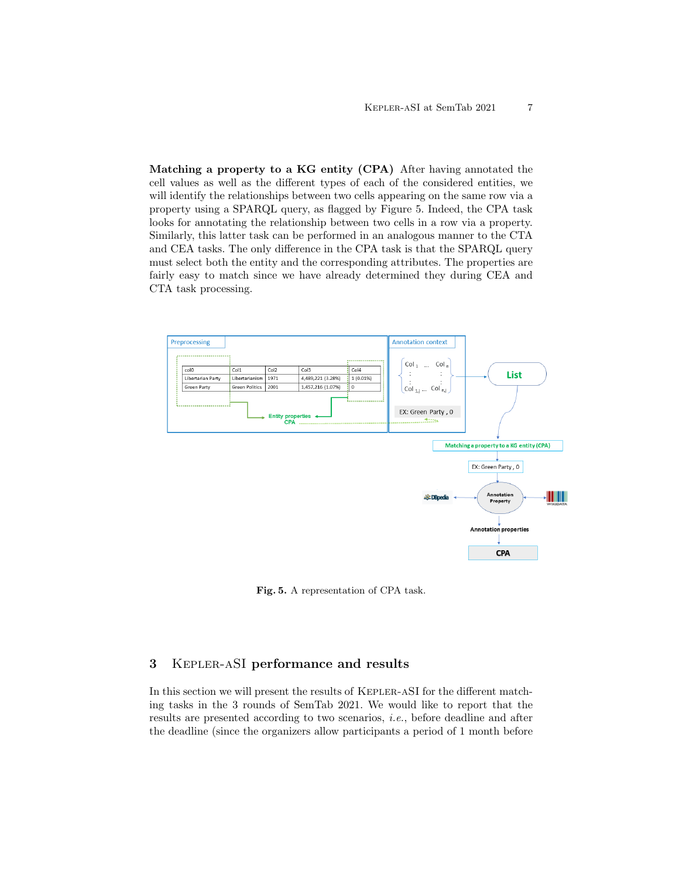Matching a property to a KG entity (CPA) After having annotated the cell values as well as the different types of each of the considered entities, we will identify the relationships between two cells appearing on the same row via a property using a SPARQL query, as flagged by Figure 5. Indeed, the CPA task looks for annotating the relationship between two cells in a row via a property. Similarly, this latter task can be performed in an analogous manner to the CTA and CEA tasks. The only difference in the CPA task is that the SPARQL query must select both the entity and the corresponding attributes. The properties are fairly easy to match since we have already determined they during CEA and CTA task processing.



Fig. 5. A representation of CPA task.

# 3 Kepler-aSI performance and results

In this section we will present the results of Kepler-aSI for the different matching tasks in the 3 rounds of SemTab 2021. We would like to report that the results are presented according to two scenarios, i.e., before deadline and after the deadline (since the organizers allow participants a period of 1 month before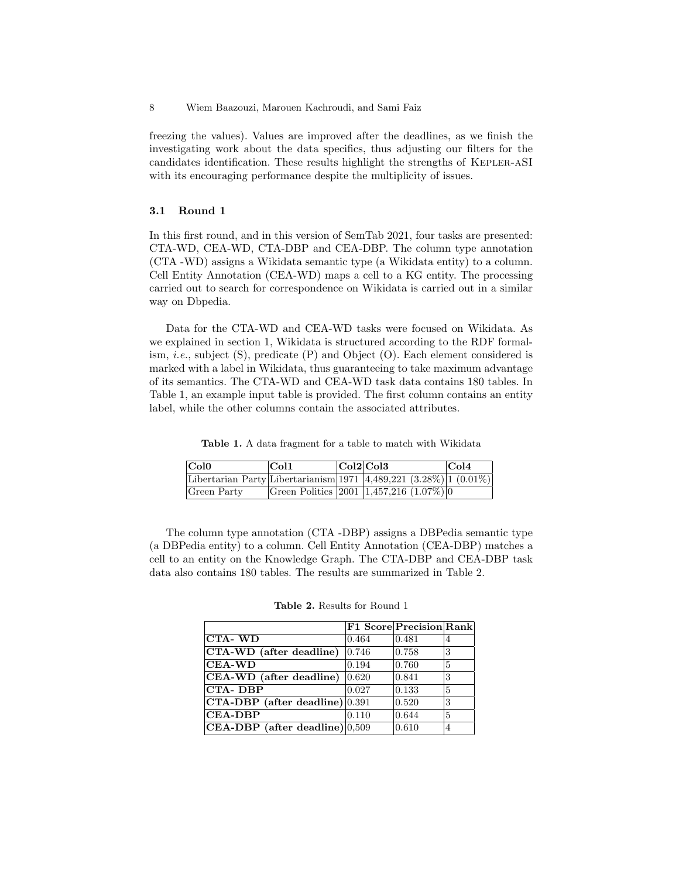freezing the values). Values are improved after the deadlines, as we finish the investigating work about the data specifics, thus adjusting our filters for the candidates identification. These results highlight the strengths of Kepler-aSI with its encouraging performance despite the multiplicity of issues.

### 3.1 Round 1

In this first round, and in this version of SemTab 2021, four tasks are presented: CTA-WD, CEA-WD, CTA-DBP and CEA-DBP. The column type annotation (CTA -WD) assigns a Wikidata semantic type (a Wikidata entity) to a column. Cell Entity Annotation (CEA-WD) maps a cell to a KG entity. The processing carried out to search for correspondence on Wikidata is carried out in a similar way on Dbpedia.

Data for the CTA-WD and CEA-WD tasks were focused on Wikidata. As we explained in section 1, Wikidata is structured according to the RDF formalism, *i.e.*, subject  $(S)$ , predicate  $(P)$  and Object  $(O)$ . Each element considered is marked with a label in Wikidata, thus guaranteeing to take maximum advantage of its semantics. The CTA-WD and CEA-WD task data contains 180 tables. In Table 1, an example input table is provided. The first column contains an entity label, while the other columns contain the associated attributes.

Table 1. A data fragment for a table to match with Wikidata

| Col0                                                                       | $ {\rm Col1}$ | Col2 Col3                                     | Col4 |
|----------------------------------------------------------------------------|---------------|-----------------------------------------------|------|
| Libertarian Party Libertarianism 1971 $ 4,489,221$ $(3.28\%)$ 1 $(0.01\%)$ |               |                                               |      |
| Green Party                                                                |               | Green Politics 2001 $ 1,457,216 \ (1.07\%) 0$ |      |

The column type annotation (CTA -DBP) assigns a DBPedia semantic type (a DBPedia entity) to a column. Cell Entity Annotation (CEA-DBP) matches a cell to an entity on the Knowledge Graph. The CTA-DBP and CEA-DBP task data also contains 180 tables. The results are summarized in Table 2.

|                                     |                 | F1 Score Precision Rank |              |
|-------------------------------------|-----------------|-------------------------|--------------|
| <b>CTA-WD</b>                       | 0.464           | 0.481                   | 4            |
| CTA-WD (after deadline)             | 0.746           | 0.758                   | 3            |
| $CEA-WD$                            | 0.194           | 0.760                   | 5            |
| CEA-WD (after deadline)             | $ 0.620\rangle$ | 0.841                   | 3            |
| CTA-DBP                             | 0.027           | 0.133                   | $\mathbf{5}$ |
| $CTA-DBP$ (after deadline) $ 0.391$ |                 | 0.520                   | 3            |
| <b>CEA-DBP</b>                      | 0.110           | 0.644                   | 5            |
| $ CEA-DBP $ (after deadline) 0,509  |                 | 0.610                   | 4            |

Table 2. Results for Round 1

<sup>8</sup> Wiem Baazouzi, Marouen Kachroudi, and Sami Faiz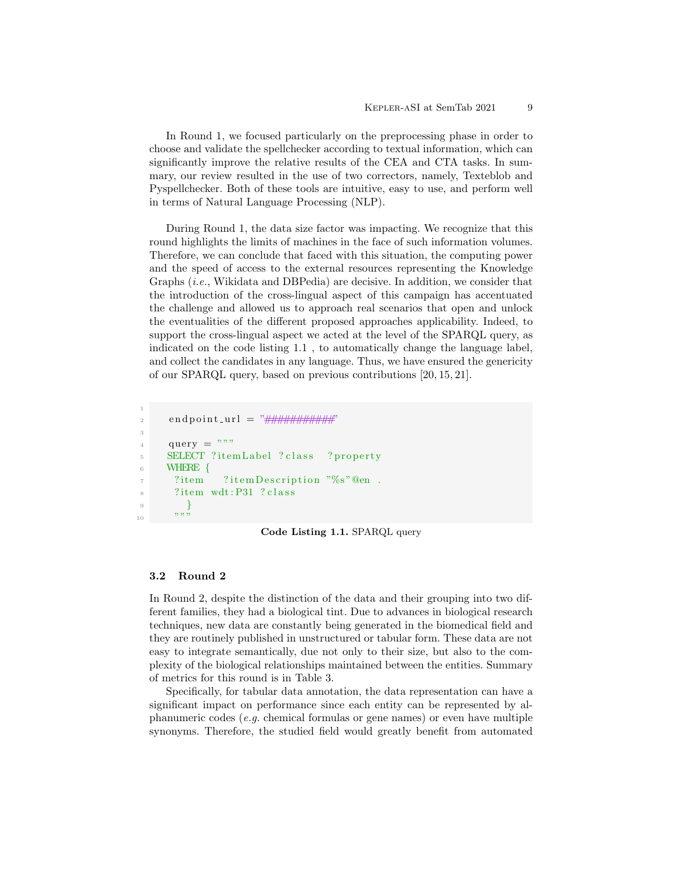In Round 1, we focused particularly on the preprocessing phase in order to choose and validate the spellchecker according to textual information, which can significantly improve the relative results of the CEA and CTA tasks. In summary, our review resulted in the use of two correctors, namely, Texteblob and Pyspellchecker. Both of these tools are intuitive, easy to use, and perform well in terms of Natural Language Processing (NLP).

During Round 1, the data size factor was impacting. We recognize that this round highlights the limits of machines in the face of such information volumes. Therefore, we can conclude that faced with this situation, the computing power and the speed of access to the external resources representing the Knowledge Graphs (i.e., Wikidata and DBPedia) are decisive. In addition, we consider that the introduction of the cross-lingual aspect of this campaign has accentuated the challenge and allowed us to approach real scenarios that open and unlock the eventualities of the different proposed approaches applicability. Indeed, to support the cross-lingual aspect we acted at the level of the SPARQL query, as indicated on the code listing 1.1 , to automatically change the language label, and collect the candidates in any language. Thus, we have ensured the genericity of our SPARQL query, based on previous contributions [20, 15, 21].

```
1
 2 endpoint_url = \sqrt[n]{\frac{1}{n} \| \frac{1}{n} \| \frac{1}{n} \| \frac{1}{n} \| \frac{1}{n} \| \frac{1}{n} \| \frac{1}{n} \| \frac{1}{n} \| \frac{1}{n} \| \frac{1}{n} \| \frac{1}{n} \| \frac{1}{n} \| \frac{1}{n} \| \frac{1}{n} \| \frac{1}{n} \| \frac{1}{n} \| \frac{1}{n} \| \frac{1}{n} \| \frac{1}{n} \| \frac{1}{n} \| \frac{1}{n} \| \frac{1}{n} \| \frac{1}{n} \| \frac{1}{n} \| \frac{1}{n}3
 4 query = """
 5 SELECT ? itemLabel ? class ? property
 6 WHERE {
 7 ? item ? item Description "%s" @en.
 8 ? item wdt: P31 ? class
  9 }
\frac{10}{10} ""
```
Code Listing 1.1. SPARQL query

#### 3.2 Round 2

In Round 2, despite the distinction of the data and their grouping into two different families, they had a biological tint. Due to advances in biological research techniques, new data are constantly being generated in the biomedical field and they are routinely published in unstructured or tabular form. These data are not easy to integrate semantically, due not only to their size, but also to the complexity of the biological relationships maintained between the entities. Summary of metrics for this round is in Table 3.

Specifically, for tabular data annotation, the data representation can have a significant impact on performance since each entity can be represented by alphanumeric codes (e.g. chemical formulas or gene names) or even have multiple synonyms. Therefore, the studied field would greatly benefit from automated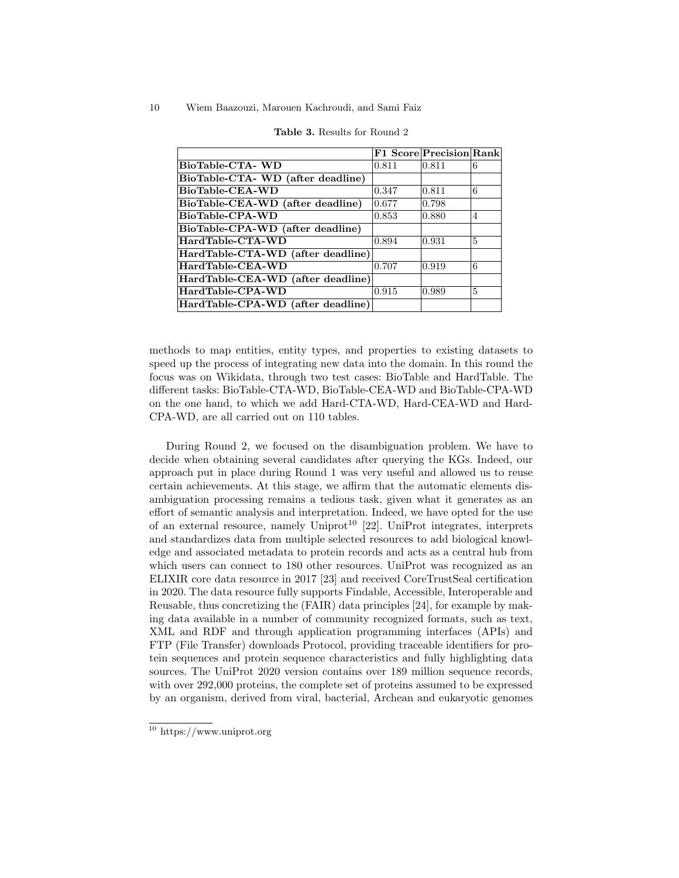|                                   |       | <b>F1 Score Precision Rank</b> |                |
|-----------------------------------|-------|--------------------------------|----------------|
| BioTable-CTA-WD                   | 0.811 | 0.811                          | 6              |
| BioTable-CTA- WD (after deadline) |       |                                |                |
| BioTable-CEA-WD                   | 0.347 | 0.811                          | 6              |
| BioTable-CEA-WD (after deadline)  | 0.677 | 0.798                          |                |
| BioTable-CPA-WD                   | 0.853 | 0.880                          | $\overline{4}$ |
| BioTable-CPA-WD (after deadline)  |       |                                |                |
| HardTable-CTA-WD                  | 0.894 | 0.931                          | 5              |
| HardTable-CTA-WD (after deadline) |       |                                |                |
| HardTable-CEA-WD                  | 0.707 | 0.919                          | 6              |
| HardTable-CEA-WD (after deadline) |       |                                |                |
| HardTable-CPA-WD                  | 0.915 | 0.989                          | 5              |
| HardTable-CPA-WD (after deadline) |       |                                |                |

| <b>Table 3.</b> Results for Round 2 |
|-------------------------------------|
|-------------------------------------|

methods to map entities, entity types, and properties to existing datasets to speed up the process of integrating new data into the domain. In this round the focus was on Wikidata, through two test cases: BioTable and HardTable. The different tasks: BioTable-CTA-WD, BioTable-CEA-WD and BioTable-CPA-WD on the one hand, to which we add Hard-CTA-WD, Hard-CEA-WD and Hard-CPA-WD, are all carried out on 110 tables.

During Round 2, we focused on the disambiguation problem. We have to decide when obtaining several candidates after querying the KGs. Indeed, our approach put in place during Round 1 was very useful and allowed us to reuse certain achievements. At this stage, we affirm that the automatic elements disambiguation processing remains a tedious task, given what it generates as an effort of semantic analysis and interpretation. Indeed, we have opted for the use of an external resource, namely Uniprot<sup>10</sup> [22]. UniProt integrates, interprets and standardizes data from multiple selected resources to add biological knowledge and associated metadata to protein records and acts as a central hub from which users can connect to 180 other resources. UniProt was recognized as an ELIXIR core data resource in 2017 [23] and received CoreTrustSeal certification in 2020. The data resource fully supports Findable, Accessible, Interoperable and Reusable, thus concretizing the (FAIR) data principles [24], for example by making data available in a number of community recognized formats, such as text, XML and RDF and through application programming interfaces (APIs) and FTP (File Transfer) downloads Protocol, providing traceable identifiers for protein sequences and protein sequence characteristics and fully highlighting data sources. The UniProt 2020 version contains over 189 million sequence records, with over 292,000 proteins, the complete set of proteins assumed to be expressed by an organism, derived from viral, bacterial, Archean and eukaryotic genomes

 $\frac{10}{10}$  https://www.uniprot.org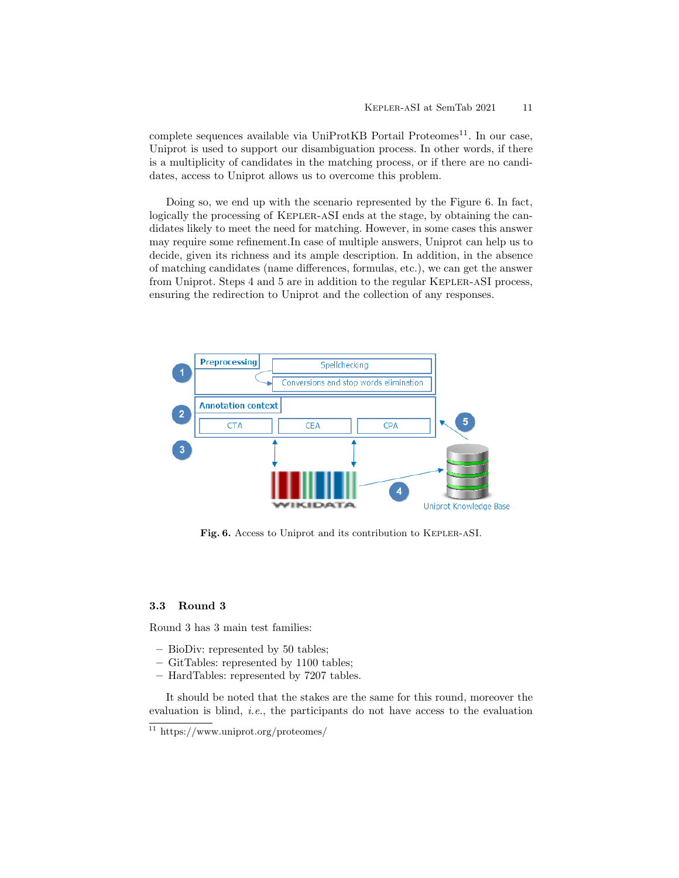$complete$  sequences available via UniProtKB Portail Proteomes<sup>11</sup>. In our case, Uniprot is used to support our disambiguation process. In other words, if there is a multiplicity of candidates in the matching process, or if there are no candidates, access to Uniprot allows us to overcome this problem.

Doing so, we end up with the scenario represented by the Figure 6. In fact, logically the processing of Kepler-aSI ends at the stage, by obtaining the candidates likely to meet the need for matching. However, in some cases this answer may require some refinement.In case of multiple answers, Uniprot can help us to decide, given its richness and its ample description. In addition, in the absence of matching candidates (name differences, formulas, etc.), we can get the answer from Uniprot. Steps 4 and 5 are in addition to the regular Kepler-aSI process, ensuring the redirection to Uniprot and the collection of any responses.



Fig. 6. Access to Uniprot and its contribution to Kepler-aSI.

### 3.3 Round 3

Round 3 has 3 main test families:

- BioDiv: represented by 50 tables;
- GitTables: represented by 1100 tables;
- HardTables: represented by 7207 tables.

It should be noted that the stakes are the same for this round, moreover the evaluation is blind, *i.e.*, the participants do not have access to the evaluation

 $\frac{11 \text{ https://www.uniprot.org/proteomes}}{11 \text{ https://www.uniprot.org/proteomes/}}$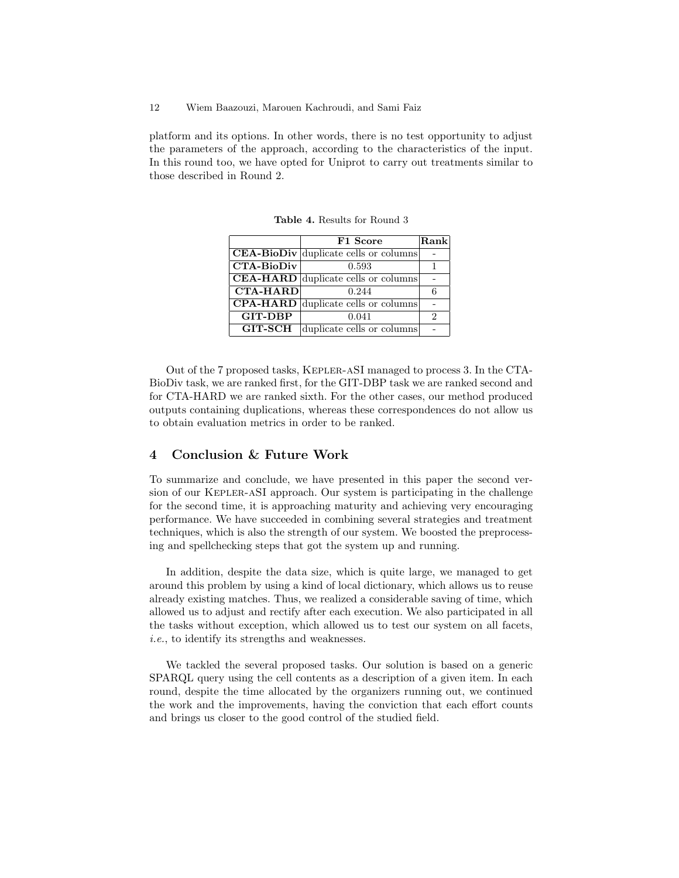platform and its options. In other words, there is no test opportunity to adjust the parameters of the approach, according to the characteristics of the input. In this round too, we have opted for Uniprot to carry out treatments similar to those described in Round 2.

|                   | F1 Score                                                  | Rank |
|-------------------|-----------------------------------------------------------|------|
|                   | CEA-BioDiv duplicate cells or columns                     |      |
| <b>CTA-BioDiv</b> | 0.593                                                     |      |
|                   | $\overline{\textbf{CEA-HARD}}$ duplicate cells or columns |      |
| <b>CTA-HARD</b>   | 0.244                                                     |      |
|                   | <b>CPA-HARD</b> duplicate cells or columns                |      |
| <b>GIT-DBP</b>    | 0.041                                                     | 2    |
| <b>GIT-SCH</b>    | duplicate cells or columns                                |      |

Table 4. Results for Round 3

Out of the 7 proposed tasks, Kepler-aSI managed to process 3. In the CTA-BioDiv task, we are ranked first, for the GIT-DBP task we are ranked second and for CTA-HARD we are ranked sixth. For the other cases, our method produced outputs containing duplications, whereas these correspondences do not allow us to obtain evaluation metrics in order to be ranked.

# 4 Conclusion & Future Work

To summarize and conclude, we have presented in this paper the second version of our Kepler-aSI approach. Our system is participating in the challenge for the second time, it is approaching maturity and achieving very encouraging performance. We have succeeded in combining several strategies and treatment techniques, which is also the strength of our system. We boosted the preprocessing and spellchecking steps that got the system up and running.

In addition, despite the data size, which is quite large, we managed to get around this problem by using a kind of local dictionary, which allows us to reuse already existing matches. Thus, we realized a considerable saving of time, which allowed us to adjust and rectify after each execution. We also participated in all the tasks without exception, which allowed us to test our system on all facets, i.e., to identify its strengths and weaknesses.

We tackled the several proposed tasks. Our solution is based on a generic SPARQL query using the cell contents as a description of a given item. In each round, despite the time allocated by the organizers running out, we continued the work and the improvements, having the conviction that each effort counts and brings us closer to the good control of the studied field.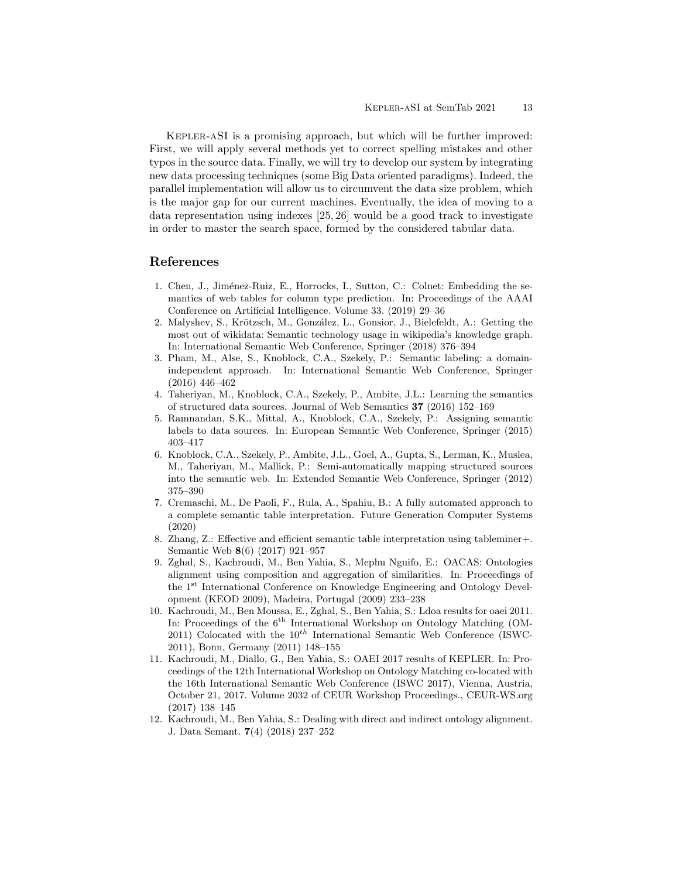Kepler-aSI is a promising approach, but which will be further improved: First, we will apply several methods yet to correct spelling mistakes and other typos in the source data. Finally, we will try to develop our system by integrating new data processing techniques (some Big Data oriented paradigms). Indeed, the parallel implementation will allow us to circumvent the data size problem, which is the major gap for our current machines. Eventually, the idea of moving to a data representation using indexes [25, 26] would be a good track to investigate in order to master the search space, formed by the considered tabular data.

# References

- 1. Chen, J., Jiménez-Ruiz, E., Horrocks, I., Sutton, C.: Colnet: Embedding the semantics of web tables for column type prediction. In: Proceedings of the AAAI Conference on Artificial Intelligence. Volume 33. (2019) 29–36
- 2. Malyshev, S., Krötzsch, M., González, L., Gonsior, J., Bielefeldt, A.: Getting the most out of wikidata: Semantic technology usage in wikipedia's knowledge graph. In: International Semantic Web Conference, Springer (2018) 376–394
- 3. Pham, M., Alse, S., Knoblock, C.A., Szekely, P.: Semantic labeling: a domainindependent approach. In: International Semantic Web Conference, Springer (2016) 446–462
- 4. Taheriyan, M., Knoblock, C.A., Szekely, P., Ambite, J.L.: Learning the semantics of structured data sources. Journal of Web Semantics 37 (2016) 152–169
- 5. Ramnandan, S.K., Mittal, A., Knoblock, C.A., Szekely, P.: Assigning semantic labels to data sources. In: European Semantic Web Conference, Springer (2015) 403–417
- 6. Knoblock, C.A., Szekely, P., Ambite, J.L., Goel, A., Gupta, S., Lerman, K., Muslea, M., Taheriyan, M., Mallick, P.: Semi-automatically mapping structured sources into the semantic web. In: Extended Semantic Web Conference, Springer (2012) 375–390
- 7. Cremaschi, M., De Paoli, F., Rula, A., Spahiu, B.: A fully automated approach to a complete semantic table interpretation. Future Generation Computer Systems (2020)
- 8. Zhang, Z.: Effective and efficient semantic table interpretation using tableminer+. Semantic Web 8(6) (2017) 921–957
- 9. Zghal, S., Kachroudi, M., Ben Yahia, S., Mephu Nguifo, E.: OACAS: Ontologies alignment using composition and aggregation of similarities. In: Proceedings of the 1st International Conference on Knowledge Engineering and Ontology Development (KEOD 2009), Madeira, Portugal (2009) 233–238
- 10. Kachroudi, M., Ben Moussa, E., Zghal, S., Ben Yahia, S.: Ldoa results for oaei 2011. In: Proceedings of the  $6<sup>th</sup>$  International Workshop on Ontology Matching (OM-2011) Colocated with the  $10^{th}$  International Semantic Web Conference (ISWC-2011), Bonn, Germany (2011) 148–155
- 11. Kachroudi, M., Diallo, G., Ben Yahia, S.: OAEI 2017 results of KEPLER. In: Proceedings of the 12th International Workshop on Ontology Matching co-located with the 16th International Semantic Web Conference (ISWC 2017), Vienna, Austria, October 21, 2017. Volume 2032 of CEUR Workshop Proceedings., CEUR-WS.org (2017) 138–145
- 12. Kachroudi, M., Ben Yahia, S.: Dealing with direct and indirect ontology alignment. J. Data Semant. 7(4) (2018) 237–252